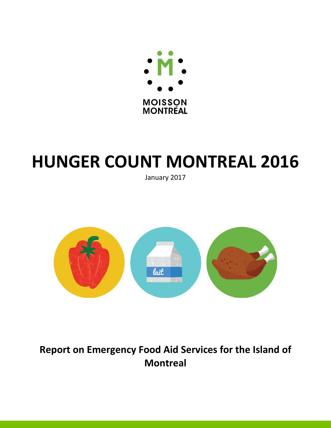

# **HUNGER COUNT MONTREAL 2016**

January 2017



**Report on Emergency Food Aid Services for the Island of Montreal**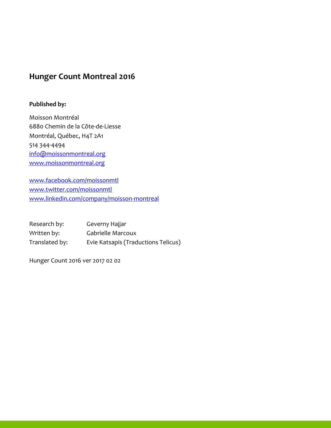# **Hunger Count Montreal 2016**

## **Published by:**

Moisson Montréal 6880 Chemin de la Côte-de-Liesse Montréal, Québec, H4T 2A1 514 344-4494 [info@moissonmontreal.org](mailto:info@moissonmontreal.org) [www.moissonmontreal.org](http://www.moissonmontreal.org/)

[www.facebook.com/moissonmtl](http://www.facebook.com/moissonmtl) [www.twitter.com/moissonmtl](http://www.twitter.com/moissonmtl) [www.linkedin.com/company/moisson-montreal](http://www.linkedin.com/company/moisson-montreal)

Research by: Geverny Hajjar Written by: Gabrielle Marcoux Translated by: Evie Katsapis (Traductions Telicus)

Hunger Count 2016 ver 2017 02 02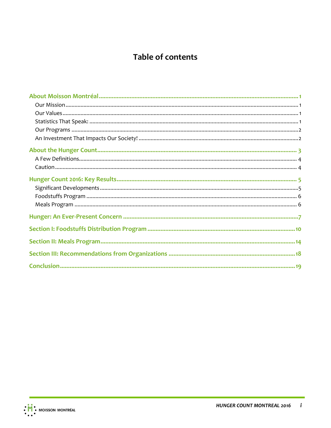# **Table of contents**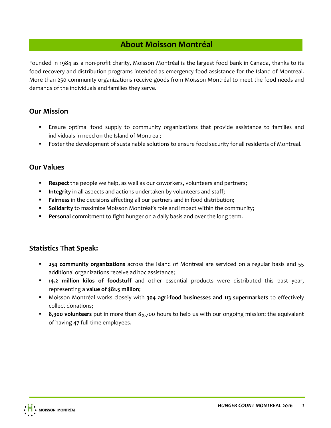# **About Moisson Montréal**

<span id="page-3-0"></span>Founded in 1984 as a non-profit charity, Moisson Montréal is the largest food bank in Canada, thanks to its food recovery and distribution programs intended as emergency food assistance for the Island of Montreal. More than 250 community organizations receive goods from Moisson Montréal to meet the food needs and demands of the individuals and families they serve.

# <span id="page-3-1"></span>**Our Mission**

- Ensure optimal food supply to community organizations that provide assistance to families and individuals in need on the Island of Montreal;
- **Foster the development of sustainable solutions to ensure food security for all residents of Montreal.**

# <span id="page-3-2"></span>**Our Values**

- **Respect** the people we help, as well as our coworkers, volunteers and partners;
- **Integrity** in all aspects and actions undertaken by volunteers and staff;
- **Fairness** in the decisions affecting all our partners and in food distribution;
- **Solidarity** to maximize Moisson Montréal's role and impact within the community;
- **Personal** commitment to fight hunger on a daily basis and over the long term.

# <span id="page-3-3"></span>**Statistics That Speak:**

- **254 community organizations** across the Island of Montreal are serviced on a regular basis and 55 additional organizations receive ad hoc assistance;
- **14.2 million kilos of foodstuff** and other essential products were distributed this past year, representing a **value of \$81.5 million**;
- Moisson Montréal works closely with **304 agri-food businesses and 113 supermarkets** to effectively collect donations;
- **8,900 volunteers** put in more than 85,700 hours to help us with our ongoing mission: the equivalent of having 47 full-time employees.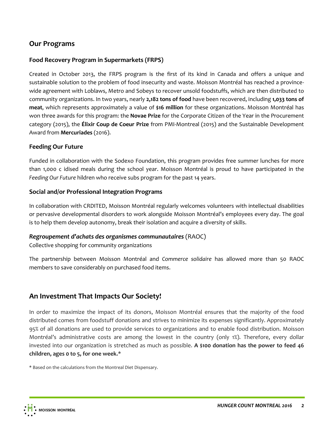# <span id="page-4-0"></span>**Our Programs**

## **Food Recovery Program in Supermarkets (FRPS)**

Created in October 2013, the FRPS program is the first of its kind in Canada and offers a unique and sustainable solution to the problem of food insecurity and waste. Moisson Montréal has reached a provincewide agreement with Loblaws, Metro and Sobeys to recover unsold foodstuffs, which are then distributed to community organizations. In two years, nearly **2,182 tons of food** have been recovered, including **1,033 tons of meat**, which represents approximately a value of **\$16 million** for these organizations. Moisson Montréal has won three awards for this program: the **Novae Prize** for the Corporate Citizen of the Year in the Procurement category (2015), the **Élixir Coup de Coeur Prize** from PMI-Montreal (2015) and the Sustainable Development Award from **Mercuriades** (2016).

#### **Feeding Our Future**

Funded in collaboration with the Sodexo Foundation, this program provides free summer lunches for more than 1,000 c idised meals during the school year. Moisson Montréal is proud to have participated in the *Feeding Our Future* hildren who receive subs program for the past 14 years.

#### **Social and/or Professional Integration Programs**

In collaboration with CRDITED, Moisson Montréal regularly welcomes volunteers with intellectual disabilities or pervasive developmental disorders to work alongside Moisson Montréal's employees every day. The goal is to help them develop autonomy, break their isolation and acquire a diversity of skills.

#### *Regroupement d'achats des organismes communautaires* (RAOC)

Collective shopping for community organizations

The partnership between Moisson Montréal and *Commerce solidaire* has allowed more than 50 RAOC members to save considerably on purchased food items.

# <span id="page-4-1"></span>**An Investment That Impacts Our Society!**

In order to maximize the impact of its donors, Moisson Montréal ensures that the majority of the food distributed comes from foodstuff donations and strives to minimize its expenses significantly. Approximately 95% of all donations are used to provide services to organizations and to enable food distribution. Moisson Montréal's administrative costs are among the lowest in the country (only 1%). Therefore, every dollar invested into our organization is stretched as much as possible. **A \$100 donation has the power to feed 46 children, ages 0 to 5, for one week.**\*

\* Based on the calculations from the Montreal Diet Dispensary.

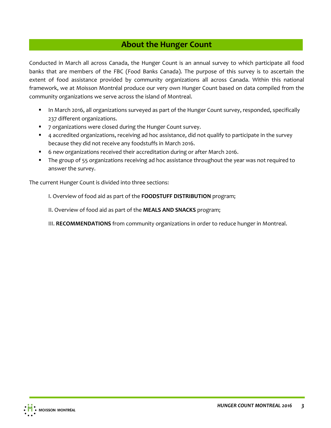# **About the Hunger Count**

<span id="page-5-0"></span>Conducted in March all across Canada, the Hunger Count is an annual survey to which participate all food banks that are members of the FBC (Food Banks Canada). The purpose of this survey is to ascertain the extent of food assistance provided by community organizations all across Canada. Within this national framework, we at Moisson Montréal produce our very own Hunger Count based on data compiled from the community organizations we serve across the island of Montreal.

- **IFT In March 2016, all organizations surveyed as part of the Hunger Count survey, responded, specifically** 237 different organizations.
- **7** organizations were closed during the Hunger Count survey.
- 4 accredited organizations, receiving ad hoc assistance, did not qualify to participate in the survey because they did not receive any foodstuffs in March 2016.
- 6 new organizations received their accreditation during or after March 2016.
- **The group of 55 organizations receiving ad hoc assistance throughout the year was not required to** answer the survey.

The current Hunger Count is divided into three sections:

I. Overview of food aid as part of the **FOODSTUFF DISTRIBUTION** program;

- II. Overview of food aid as part of the **MEALS AND SNACKS** program;
- III. **RECOMMENDATIONS** from community organizations in order to reduce hunger in Montreal.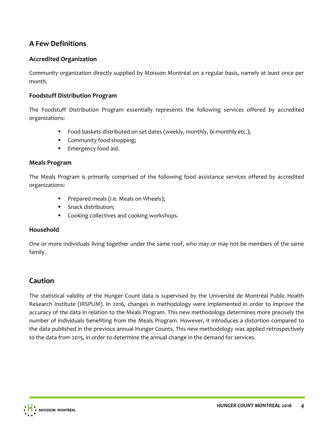# <span id="page-6-0"></span>**A Few Definitions**

## **Accredited Organization**

Community organization directly supplied by Moisson Montréal on a regular basis, namely at least once per month.

#### **Foodstuff Distribution Program**

The Foodstuff Distribution Program essentially represents the following services offered by accredited organizations:

- **Food baskets distributed on set dates (weekly, monthly, bi-monthly etc.);**
- **•** Community food shopping;
- **Emergency food aid.**

#### **Meals Program**

The Meals Program is primarily comprised of the following food assistance services offered by accredited organizations:

- **Prepared meals (i.e. Meals on Wheels);**
- **Snack distribution:**
- **•** Cooking collectives and cooking workshops.

#### **Household**

One or more individuals living together under the same roof, who may or may not be members of the same family.

# <span id="page-6-1"></span>**Caution**

The statistical validity of the Hunger Count data is supervised by the Université de Montréal Public Health Research Institute (IRSPUM). In 2016, changes in methodology were implemented in order to improve the accuracy of the data in relation to the Meals Program. This new methodology determines more precisely the number of individuals benefiting from the Meals Program. However, it introduces a distortion compared to the data published in the previous annual Hunger Counts. This new methodology was applied retrospectively to the data from 2015, in order to determine the annual change in the demand for services.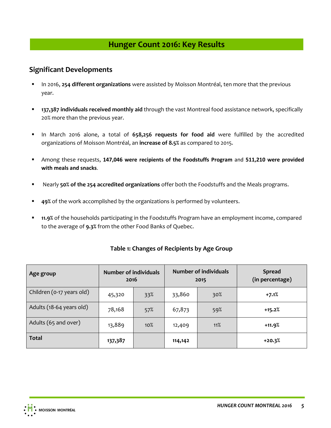# **Hunger Count 2016: Key Results**

## <span id="page-7-1"></span><span id="page-7-0"></span>**Significant Developments**

- In 2016, **254 different organizations** were assisted by Moisson Montréal, ten more that the previous year.
- **137,387 individuals received monthly aid** through the vast Montreal food assistance network, specifically 20% more than the previous year.
- In March 2016 alone, a total of **658,256 requests for food aid** were fulfilled by the accredited organizations of Moisson Montréal, an **increase of 8.5%** as compared to 2015.
- Among these requests, **147,046 were recipients of the Foodstuffs Program** and **511,210 were provided with meals and snacks**.
- Nearly **50% of the 254 accredited organizations** offer both the Foodstuffs and the Meals programs.
- **49%** of the work accomplished by the organizations is performed by volunteers.
- **11.9%** of the households participating in the Foodstuffs Program have an employment income, compared to the average of **9.3%** from the other Food Banks of Quebec.

| Age group                 | <b>Number of individuals</b><br>2016 |     |         | Number of individuals<br>2015 | <b>Spread</b><br>(in percentage) |
|---------------------------|--------------------------------------|-----|---------|-------------------------------|----------------------------------|
| Children (0-17 years old) | 45,320                               | 33% | 33,860  | 30%                           | $+7.1%$                          |
| Adults (18-64 years old)  | 78,168                               | 57% | 67,873  | 59%                           | $+15.2%$                         |
| Adults (65 and over)      | 13,889                               | 10% | 12,409  | 11%                           | $+11.9%$                         |
| <b>Total</b>              | 137,387                              |     | 114,142 |                               | $+20.3%$                         |

## **Table 1: Changes of Recipients by Age Group**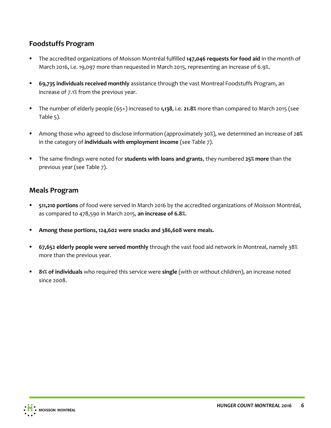# <span id="page-8-0"></span>**Foodstuffs Program**

- The accredited organizations of Moisson Montréal fulfilled **147,046 requests for food aid** in the month of March 2016, i.e. 19,097 more than requested in March 2015, representing an increase of 6.9%.
- **69,735 individuals received monthly** assistance through the vast Montreal Foodstuffs Program, an increase of 7.1% from the previous year.
- The number of elderly people (65+) increased to **1,138**, i.e. **21.8%** more than compared to March 2015 (see Table 5).
- Among those who agreed to disclose information (approximately 30%), we determined an increase of 2**0%**  in the category of **individuals with employment income** (see Table 7).
- The same findings were noted for **students with loans and grants**, they numbered **25% more** than the previous year (see Table 7).

## <span id="page-8-1"></span>**Meals Program**

- **511,210 portions** of food were served in March 2016 by the accredited organizations of Moisson Montréal, as compared to 478,590 in March 2015, **an increase of 6.8%**.
- **Among these portions, 124,602 were snacks and 386,608 were meals.**
- **67,652 elderly people were served monthly** through the vast food aid network in Montreal, namely 38% more than the previous year.
- **81% of individuals** who required this service were **single** (with or without children), an increase noted since 2008.

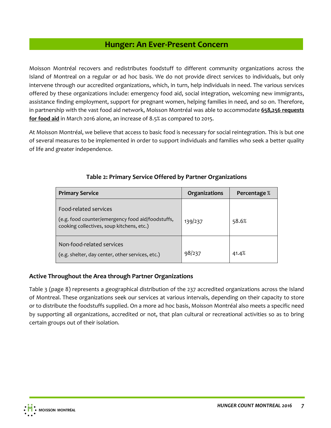# **Hunger: An Ever-Present Concern**

<span id="page-9-0"></span>Moisson Montréal recovers and redistributes foodstuff to different community organizations across the Island of Montreal on a regular or ad hoc basis. We do not provide direct services to individuals, but only intervene through our accredited organizations, which, in turn, help individuals in need. The various services offered by these organizations include: emergency food aid, social integration, welcoming new immigrants, assistance finding employment, support for pregnant women, helping families in need, and so on. Therefore, in partnership with the vast food aid network, Moisson Montréal was able to accommodate **658,256 requests for food aid** in March 2016 alone, an increase of 8.5% as compared to 2015.

At Moisson Montréal, we believe that access to basic food is necessary for social reintegration. This is but one of several measures to be implemented in order to support individuals and families who seek a better quality of life and greater independence.

| <b>Primary Service</b>                                                                                                  | Organizations | Percentage % |
|-------------------------------------------------------------------------------------------------------------------------|---------------|--------------|
| Food-related services<br>(e.g. food counter/emergency food aid/foodstuffs,<br>cooking collectives, soup kitchens, etc.) | 139/237       | 58.6%        |
| Non-food-related services<br>(e.g. shelter, day center, other services, etc.)                                           | 98/237        | 41.4%        |

## **Table 2: Primary Service Offered by Partner Organizations**

## **Active Throughout the Area through Partner Organizations**

Table 3 (page 8) represents a geographical distribution of the 237 accredited organizations across the Island of Montreal. These organizations seek our services at various intervals, depending on their capacity to store or to distribute the foodstuffs supplied. On a more ad hoc basis, Moisson Montréal also meets a specific need by supporting all organizations, accredited or not, that plan cultural or recreational activities so as to bring certain groups out of their isolation.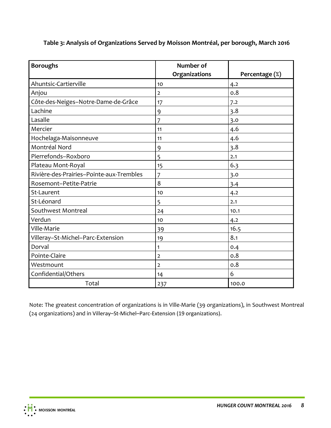| <b>Boroughs</b>                          | Number of      |                |
|------------------------------------------|----------------|----------------|
|                                          | Organizations  | Percentage (%) |
| Ahuntsic-Cartierville                    | 10             | 4.2            |
| Anjou                                    | $\overline{2}$ | 0.8            |
| Côte-des-Neiges-Notre-Dame-de-Grâce      | 17             | 7.2            |
| Lachine                                  | 9              | 3.8            |
| Lasalle                                  | 7              | 3.0            |
| Mercier                                  | 11             | 4.6            |
| Hochelaga-Maisonneuve                    | 11             | 4.6            |
| Montréal Nord                            | 9              | 3.8            |
| Pierrefonds-Roxboro                      | 5              | 2.1            |
| Plateau Mont-Royal                       | 15             | 6.3            |
| Rivière-des-Prairies-Pointe-aux-Trembles | 7              | 3.0            |
| Rosemont-Petite-Patrie                   | 8              | 3.4            |
| St-Laurent                               | 10             | 4.2            |
| St-Léonard                               | 5              | 2.1            |
| Southwest Montreal                       | 24             | 10.1           |
| Verdun                                   | 10             | 4.2            |
| Ville-Marie                              | 39             | 16.5           |
| Villeray-St-Michel-Parc-Extension        | 19             | 8.1            |
| Dorval                                   | 1              | 0.4            |
| Pointe-Claire                            | $\overline{2}$ | 0.8            |
| Westmount                                | 2              | 0.8            |
| Confidential/Others                      | 14             | 6              |
| Total                                    | 237            | 100.0          |

**Table 3: Analysis of Organizations Served by Moisson Montréal, per borough, March 2016**

Note: The greatest concentration of organizations is in Ville-Marie (39 organizations), in Southwest Montreal (24 organizations) and in Villeray–St-Michel–Parc-Extension (19 organizations).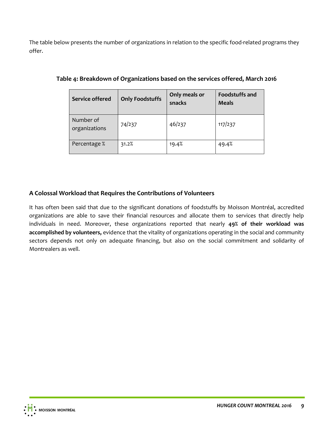The table below presents the number of organizations in relation to the specific food-related programs they offer.

| <b>Service offered</b>     | <b>Only Foodstuffs</b> | Only meals or<br>snacks | <b>Foodstuffs and</b><br><b>Meals</b> |
|----------------------------|------------------------|-------------------------|---------------------------------------|
| Number of<br>organizations | 74/237                 | 46/237                  | 117/237                               |
| Percentage %               | 31.2%                  | 19.4%                   | 49.4%                                 |

## **Table 4: Breakdown of Organizations based on the services offered, March 2016**

## **A Colossal Workload that Requires the Contributions of Volunteers**

It has often been said that due to the significant donations of foodstuffs by Moisson Montréal, accredited organizations are able to save their financial resources and allocate them to services that directly help individuals in need. Moreover, these organizations reported that nearly **49% of their workload was accomplished by volunteers,** evidence that the vitality of organizations operating in the social and community sectors depends not only on adequate financing, but also on the social commitment and solidarity of Montrealers as well.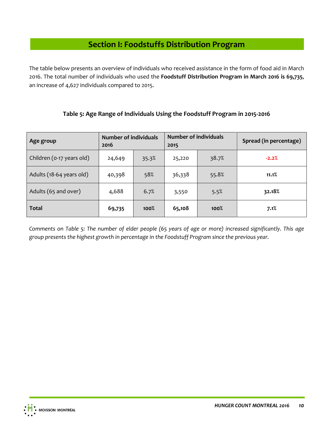# **Section I: Foodstuffs Distribution Program**

<span id="page-12-0"></span>The table below presents an overview of individuals who received assistance in the form of food aid in March 2016. The total number of individuals who used the **Foodstuff Distribution Program in March 2016 is 69,735**, an increase of 4,627 individuals compared to 2015.

**Table 5: Age Range of Individuals Using the Foodstuff Program in 2015-2016**

# **Age group Number of individuals 2016 Number of individuals 2015 Spread (in percentage)** Children (0-17 years old) 24,649 35.3% 25,220 38.7% **-2.2%** Adults (18-64 years old) | 40,398 | 58% | 36,338 | 55.8% | 11.1% Adults (65 and over) 1 4,688 | 6.7<sup>%</sup> | 3,550 | 5.5<sup>%</sup> | 32.18% **Total 69,735 100% 65,108 100% 7.1%**

*Comments on Table 5: The number of elder people (65 years of age or more) increased significantly. This age group presents the highest growth in percentage in the Foodstuff Program since the previous year.*

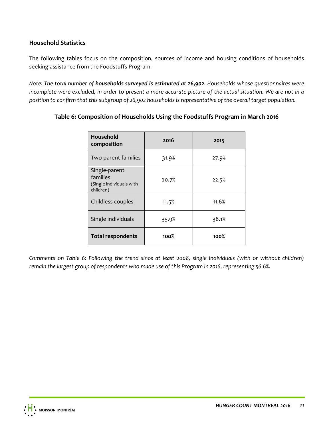## **Household Statistics**

The following tables focus on the composition, sources of income and housing conditions of households seeking assistance from the Foodstuffs Program.

*Note: The total number of households surveyed is estimated at 26,902. Households whose questionnaires were*  incomplete were excluded, in order to present a more accurate picture of the actual situation. We are not in a *position to confirm that this subgroup of 26,902 households is representative of the overall target population.* 

| <b>Household</b><br>composition                                    | 2016  | 2015    |
|--------------------------------------------------------------------|-------|---------|
| Two-parent families                                                | 31.9% | 27.9%   |
| Single-parent<br>families<br>(Single individuals with<br>children) | 20.7% | 22.5%   |
| Childless couples                                                  | 11.5% | 11.6%   |
| Single individuals                                                 | 35.9% | 38.1%   |
| <b>Total respondents</b>                                           | 100%  | $100\%$ |

## **Table 6: Composition of Households Using the Foodstuffs Program in March 2016**

*Comments on Table 6: Following the trend since at least 2008, single individuals (with or without children) remain the largest group of respondents who made use of this Program in 2016, representing 56.6%.*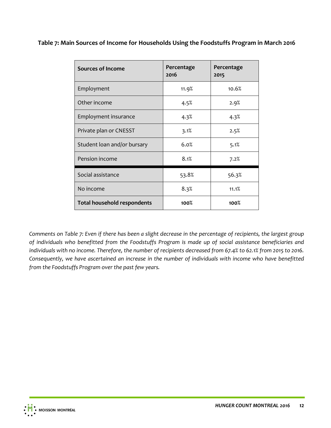**Table 7: Main Sources of Income for Households Using the Foodstuffs Program in March 2016**

| <b>Sources of Income</b>           | Percentage<br>2016 | Percentage<br>2015 |
|------------------------------------|--------------------|--------------------|
| Employment                         | 11.9%              | 10.6%              |
| Other income                       | 4.5%               | 2.9%               |
| Employment insurance               | 4.3%               | 4.3%               |
| Private plan or CNESST             | 3.1%               | 2.5%               |
| Student loan and/or bursary        | 6.0%               | 5.1%               |
| Pension income                     | 8.1%               | 7.2%               |
| Social assistance                  | 53.8%              | 56.3%              |
| No income                          | 8.3%               | 11.1%              |
| <b>Total household respondents</b> | 100%               | 100%               |

*Comments on Table 7: Even if there has been a slight decrease in the percentage of recipients, the largest group of individuals who benefitted from the Foodstuffs Program is made up of social assistance beneficiaries and individuals with no income. Therefore, the number of recipients decreased from 67.4% to 62.1% from 2015 to 2016. Consequently, we have ascertained an increase in the number of individuals with income who have benefitted from the Foodstuffs Program over the past few years.*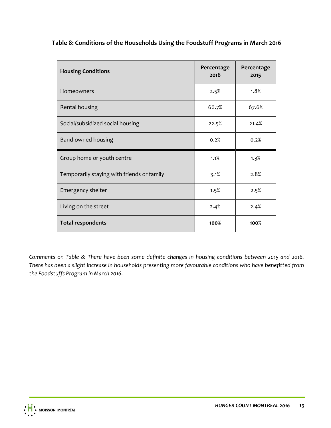**Table 8: Conditions of the Households Using the Foodstuff Programs in March 2016**

| <b>Housing Conditions</b>                  | Percentage<br>2016 | Percentage<br>2015 |
|--------------------------------------------|--------------------|--------------------|
| <b>Homeowners</b>                          | 2.5%               | 1.8%               |
| Rental housing                             | 66.7%              | 67.6%              |
| Social/subsidized social housing           | 22.5%              | 21.4%              |
| Band-owned housing                         | 0.2%               | 0.2%               |
| Group home or youth centre                 | 1.1%               | 1.3%               |
| Temporarily staying with friends or family | 3.1%               | 2.8%               |
| Emergency shelter                          | 1.5%               | 2.5%               |
| Living on the street                       | 2.4%               | 2.4%               |
| <b>Total respondents</b>                   | 100%               | 100%               |

*Comments on Table 8: There have been some definite changes in housing conditions between 2015 and 2016. There has been a slight increase in households presenting more favourable conditions who have benefitted from the Foodstuffs Program in March 2016.*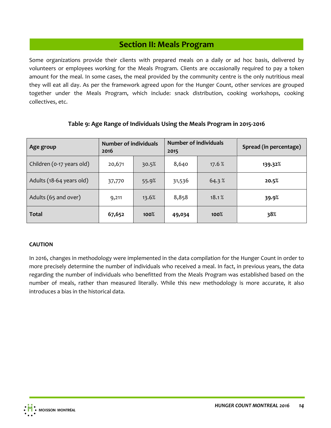# **Section II: Meals Program**

<span id="page-16-0"></span>Some organizations provide their clients with prepared meals on a daily or ad hoc basis, delivered by volunteers or employees working for the Meals Program. Clients are occasionally required to pay a token amount for the meal. In some cases, the meal provided by the community centre is the only nutritious meal they will eat all day. As per the framework agreed upon for the Hunger Count, other services are grouped together under the Meals Program, which include: snack distribution, cooking workshops, cooking collectives, etc.

| Age group                 | <b>Number of individuals</b><br>2016 |       | <b>Number of individuals</b><br>2015 |        | Spread (in percentage) |
|---------------------------|--------------------------------------|-------|--------------------------------------|--------|------------------------|
| Children (0-17 years old) | 20,671                               | 30.5% | 8,640                                | 17.6 % | 139.32%                |
| Adults (18-64 years old)  | 37,770                               | 55.9% | 31,536                               | 64.3%  | 20.5%                  |
| Adults (65 and over)      | 9,211                                | 13.6% | 8,858                                | 18.1%  | 39.9%                  |
| <b>Total</b>              | 67,652                               | 100%  | 49,034                               | 100%   | 38%                    |

#### **Table 9: Age Range of Individuals Using the Meals Program in 2015-2016**

#### **CAUTION**

In 2016, changes in methodology were implemented in the data compilation for the Hunger Count in order to more precisely determine the number of individuals who received a meal. In fact, in previous years, the data regarding the number of individuals who benefitted from the Meals Program was established based on the number of meals, rather than measured literally. While this new methodology is more accurate, it also introduces a bias in the historical data.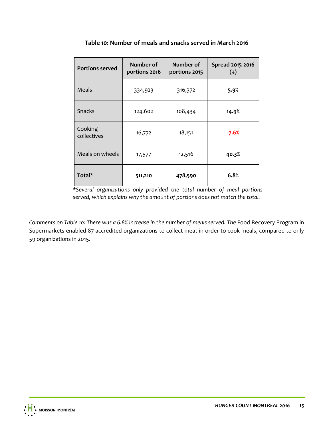| <b>Portions served</b> | Number of<br>portions 2016 | Number of<br>portions 2015 | Spread 2015-2016<br>$(\%)$ |
|------------------------|----------------------------|----------------------------|----------------------------|
| Meals                  | 334,923                    | 316,372                    | 5.9%                       |
| <b>Snacks</b>          | 124,602                    | 108,434                    | 14.9%                      |
| Cooking<br>collectives | 16,772                     | 18,151                     | -7.6%                      |
| Meals on wheels        | 17,577                     | 12,516                     | 40.3%                      |
| Total*                 | 511,210                    | 478,590                    | 6.8%                       |

**Table 10: Number of meals and snacks served in March 2016**

*\*Several organizations only provided the total number of meal portions served, which explains why the amount of portions does not match the total.*

*Comments on Table 10: There was a 6.8% increase in the number of meals served. The* Food Recovery Program in Supermarkets enabled 87 accredited organizations to collect meat in order to cook meals, compared to only 59 organizations in 2015.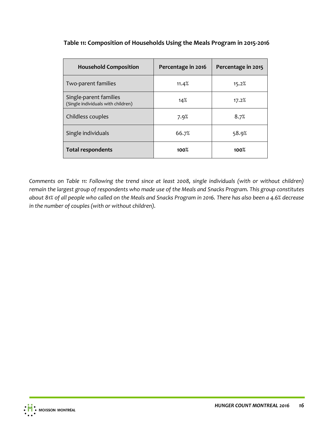## **Table 11: Composition of Households Using the Meals Program in 2015-2016**

| <b>Household Composition</b>                                 | Percentage in 2016 | Percentage in 2015 |
|--------------------------------------------------------------|--------------------|--------------------|
| Two-parent families                                          | 11.4%              | 15.2%              |
| Single-parent families<br>(Single individuals with children) | 14%                | 17.2%              |
| Childless couples                                            | 7.9%               | 8.7%               |
| Single individuals                                           | 66.7%              | 58.9%              |
| <b>Total respondents</b>                                     | 100%               | 100%               |

*Comments on Table 11: Following the trend since at least 2008, single individuals (with or without children) remain the largest group of respondents who made use of the Meals and Snacks Program. This group constitutes about 81% of all people who called on the Meals and Snacks Program in 2016. There has also been a 4.6% decrease in the number of couples (with or without children).*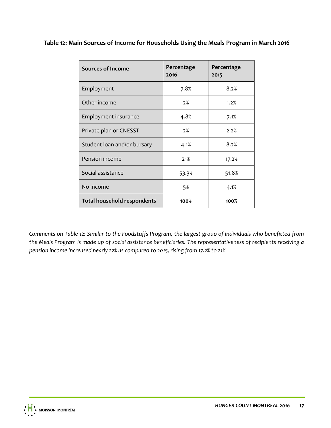**Table 12: Main Sources of Income for Households Using the Meals Program in March 2016**

| <b>Sources of Income</b>           | Percentage<br>2016 | Percentage<br>2015 |
|------------------------------------|--------------------|--------------------|
| Employment                         | 7.8%               | 8.2%               |
| Other income                       | 2%                 | 1.2%               |
| Employment insurance               | 4.8%               | 7.1%               |
| Private plan or CNESST             | 2%                 | 2.2%               |
| Student loan and/or bursary        | 4.1%               | 8.2%               |
| Pension income                     | 21%                | 17.2%              |
| Social assistance                  | 53.3%              | 51.8%              |
| No income                          | 5%                 | 4.1%               |
| <b>Total household respondents</b> | 100%               | 100%               |

*Comments on Table 12: Similar to the Foodstuffs Program, the largest group of individuals who benefitted from the Meals Program is made up of social assistance beneficiaries. The representativeness of recipients receiving a pension income increased nearly 22% as compared to 2015, rising from 17.2% to 21%.*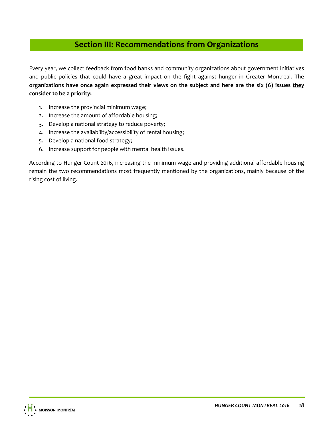# **Section III: Recommendations from Organizations**

<span id="page-20-0"></span>Every year, we collect feedback from food banks and community organizations about government initiatives and public policies that could have a great impact on the fight against hunger in Greater Montreal. **The organizations have once again expressed their views on the subject and here are the six (6) issues they consider to be a priority:** 

- 1. Increase the provincial minimum wage;
- 2. Increase the amount of affordable housing;
- 3. Develop a national strategy to reduce poverty;
- 4. Increase the availability/accessibility of rental housing;
- 5. Develop a national food strategy;
- 6. Increase support for people with mental health issues.

According to Hunger Count 2016, increasing the minimum wage and providing additional affordable housing remain the two recommendations most frequently mentioned by the organizations, mainly because of the rising cost of living.